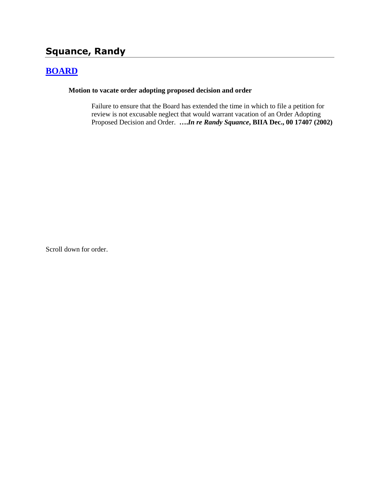# **Squance, Randy**

## **[BOARD](http://www.biia.wa.gov/SDSubjectIndex.html#BOARD)**

#### **Motion to vacate order adopting proposed decision and order**

Failure to ensure that the Board has extended the time in which to file a petition for review is not excusable neglect that would warrant vacation of an Order Adopting Proposed Decision and Order. **….***In re Randy Squance***, BIIA Dec., 00 17407 (2002)**

Scroll down for order.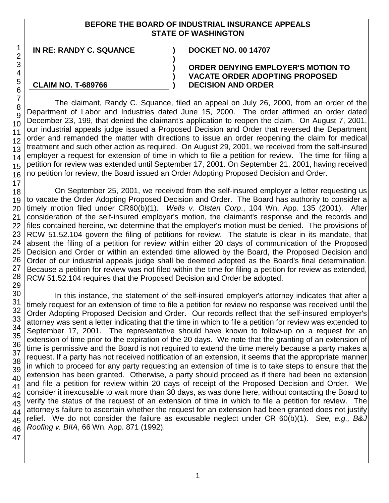## **BEFORE THE BOARD OF INDUSTRIAL INSURANCE APPEALS STATE OF WASHINGTON**

**)**

**) ) )**

**IN RE: RANDY C. SQUANCE ) DOCKET NO. 00 14707**

**CLAIM NO. T-689766**

### **ORDER DENYING EMPLOYER'S MOTION TO VACATE ORDER ADOPTING PROPOSED DECISION AND ORDER**

The claimant, Randy C. Squance, filed an appeal on July 26, 2000, from an order of the Department of Labor and Industries dated June 15, 2000. The order affirmed an order dated December 23, 199, that denied the claimant's application to reopen the claim. On August 7, 2001, our industrial appeals judge issued a Proposed Decision and Order that reversed the Department order and remanded the matter with directions to issue an order reopening the claim for medical treatment and such other action as required. On August 29, 2001, we received from the self-insured employer a request for extension of time in which to file a petition for review. The time for filing a petition for review was extended until September 17, 2001. On September 21, 2001, having received no petition for review, the Board issued an Order Adopting Proposed Decision and Order.

On September 25, 2001, we received from the self-insured employer a letter requesting us to vacate the Order Adopting Proposed Decision and Order. The Board has authority to consider a timely motion filed under CR60(b)(1). *Wells v. Olsten Corp*., 104 Wn. App. 135 (2001). After consideration of the self-insured employer's motion, the claimant's response and the records and files contained hereine, we determine that the employer's motion must be denied. The provisions of RCW 51.52.104 govern the filing of petitions for review. The statute is clear in its mandate, that absent the filing of a petition for review within either 20 days of communication of the Proposed Decision and Order or within an extended time allowed by the Board, the Proposed Decision and Order of our industrial appeals judge shall be deemed adopted as the Board's final determination. Because a petition for review was not filed within the time for filing a petition for review as extended, RCW 51.52.104 requires that the Proposed Decision and Order be adopted.

42 43 In this instance, the statement of the self-insured employer's attorney indicates that after a timely request for an extension of time to file a petition for review no response was received until the Order Adopting Proposed Decision and Order. Our records reflect that the self-insured employer's attorney was sent a letter indicating that the time in which to file a petition for review was extended to September 17, 2001. The representative should have known to follow-up on a request for an extension of time prior to the expiration of the 20 days. We note that the granting of an extension of time is permissive and the Board is not required to extend the time merely because a party makes a request. If a party has not received notification of an extension, it seems that the appropriate manner in which to proceed for any party requesting an extension of time is to take steps to ensure that the extension has been granted. Otherwise, a party should proceed as if there had been no extension and file a petition for review within 20 days of receipt of the Proposed Decision and Order. We consider it inexcusable to wait more than 30 days, as was done here, without contacting the Board to verify the status of the request of an extension of time in which to file a petition for review. The attorney's failure to ascertain whether the request for an extension had been granted does not justify relief. We do not consider the failure as excusable neglect under CR 60(b)(1). *See, e.g., B&J Roofing v. BIIA*, 66 Wn. App. 871 (1992).